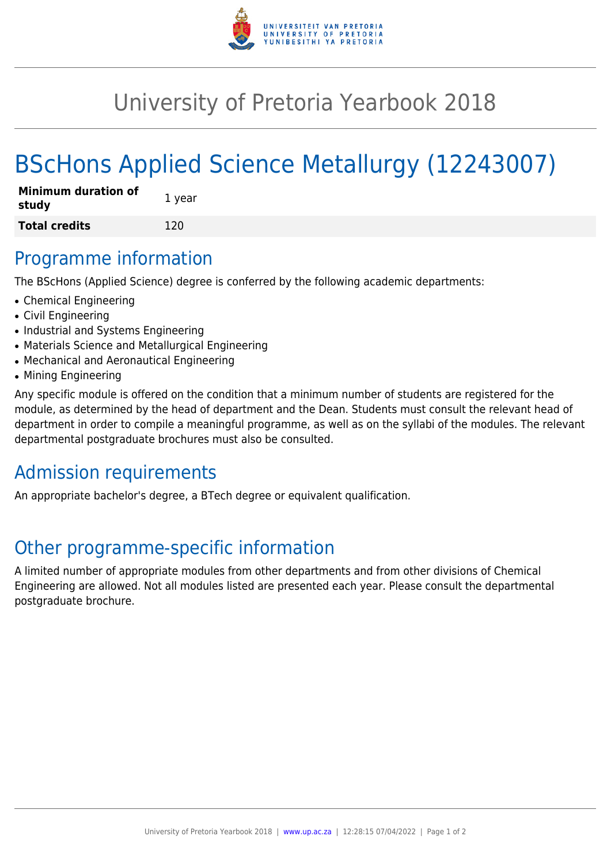

## University of Pretoria Yearbook 2018

# BScHons Applied Science Metallurgy (12243007)

| <b>Minimum duration of</b><br>study | 1 year |
|-------------------------------------|--------|
| <b>Total credits</b>                | 120    |

#### Programme information

The BScHons (Applied Science) degree is conferred by the following academic departments:

- Chemical Engineering
- Civil Engineering
- Industrial and Systems Engineering
- Materials Science and Metallurgical Engineering
- Mechanical and Aeronautical Engineering
- Mining Engineering

Any specific module is offered on the condition that a minimum number of students are registered for the module, as determined by the head of department and the Dean. Students must consult the relevant head of department in order to compile a meaningful programme, as well as on the syllabi of the modules. The relevant departmental postgraduate brochures must also be consulted.

### Admission requirements

An appropriate bachelor's degree, a BTech degree or equivalent qualification.

### Other programme-specific information

A limited number of appropriate modules from other departments and from other divisions of Chemical Engineering are allowed. Not all modules listed are presented each year. Please consult the departmental postgraduate brochure.